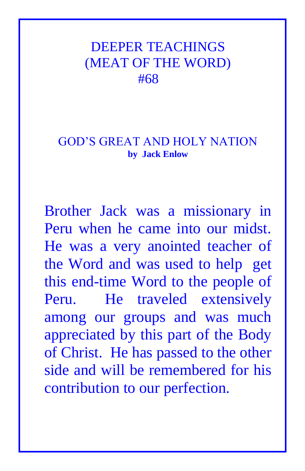## DEEPER TEACHINGS (MEAT OF THE WORD) #68

## GOD'S GREAT AND HOLY NATION **by Jack Enlow**

Brother Jack was a missionary in Peru when he came into our midst. He was a very anointed teacher of the Word and was used to help get this end-time Word to the people of Peru. He traveled extensively among our groups and was much appreciated by this part of the Body of Christ. He has passed to the other side and will be remembered for his contribution to our perfection.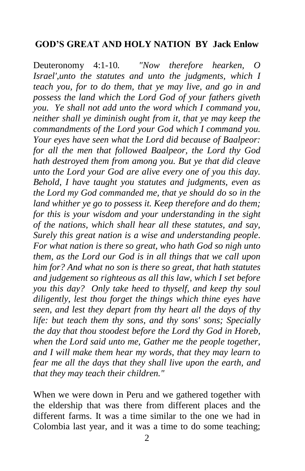## **GOD'S GREAT AND HOLY NATION BY Jack Enlow**

Deuteronomy 4:1-10*. "Now therefore hearken, O Israel',unto the statutes and unto the judgments, which I teach you, for to do them, that ye may live, and go in and possess the land which the Lord God of your fathers giveth you. Ye shall not add unto the word which I command you, neither shall ye diminish ought from it, that ye may keep the commandments of the Lord your God which I command you. Your eyes have seen what the Lord did because of Baalpeor: for all the men that followed Baalpeor, the Lord thy God hath destroyed them from among you. But ye that did cleave unto the Lord your God are alive every one of you this day. Behold, I have taught you statutes and judgments, even as the Lord my God commanded me, that ye should do so in the land whither ye go to possess it. Keep therefore and do them; for this is your wisdom and your understanding in the sight of the nations, which shall hear all these statutes, and say, Surely this great nation is a wise and understanding people. For what nation is there so great, who hath God so nigh unto them, as the Lord our God is in all things that we call upon him for? And what no son is there so great, that hath statutes and judgement so righteous as all this law, which I set before you this day? Only take heed to thyself, and keep thy soul diligently, lest thou forget the things which thine eyes have seen, and lest they depart from thy heart all the days of thy life: but teach them thy sons, and thy sons' sons; Specially the day that thou stoodest before the Lord thy God in Horeb, when the Lord said unto me, Gather me the people together, and I will make them hear my words, that they may learn to fear me all the days that they shall live upon the earth, and that they may teach their children."* 

When we were down in Peru and we gathered together with the eldership that was there from different places and the different farms. It was a time similar to the one we had in Colombia last year, and it was a time to do some teaching;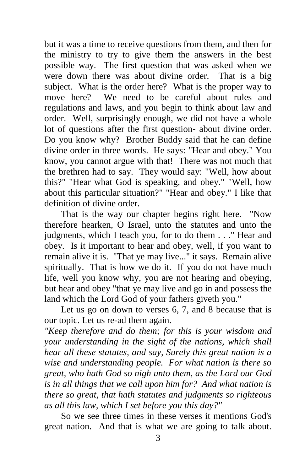but it was a time to receive questions from them, and then for the ministry to try to give them the answers in the best possible way. The first question that was asked when we were down there was about divine order. That is a big subject. What is the order here? What is the proper way to move here? We need to be careful about rules and regulations and laws, and you begin to think about law and order. Well, surprisingly enough, we did not have a whole lot of questions after the first question- about divine order. Do you know why? Brother Buddy said that he can define divine order in three words. He says: "Hear and obey." You know, you cannot argue with that! There was not much that the brethren had to say. They would say: "Well, how about this?" "Hear what God is speaking, and obey." "Well, how about this particular situation?" "Hear and obey." I like that definition of divine order.

That is the way our chapter begins right here. "Now therefore hearken, O Israel, unto the statutes and unto the judgments, which I teach you, for to do them . . ." Hear and obey. Is it important to hear and obey, well, if you want to remain alive it is. "That ye may live..." it says. Remain alive spiritually. That is how we do it. If you do not have much life, well you know why, you are not hearing and obeying, but hear and obey "that ye may live and go in and possess the land which the Lord God of your fathers giveth you."

Let us go on down to verses 6, 7, and 8 because that is our topic. Let us re-ad them again.

*"Keep therefore and do them; for this is your wisdom and your understanding in the sight of the nations, which shall hear all these statutes, and say, Surely this great nation is a wise and understanding people. For what nation is there so great, who hath God so nigh unto them, as the Lord our God is in all things that we call upon him for? And what nation is there so great, that hath statutes and judgments so righteous as all this law, which I set before you this day?"*

So we see three times in these verses it mentions God's great nation. And that is what we are going to talk about.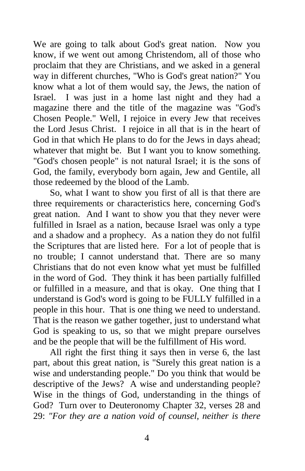We are going to talk about God's great nation. Now you know, if we went out among Christendom, all of those who proclaim that they are Christians, and we asked in a general way in different churches, "Who is God's great nation?" You know what a lot of them would say, the Jews, the nation of Israel. I was just in a home last night and they had a magazine there and the title of the magazine was "God's Chosen People." Well, I rejoice in every Jew that receives the Lord Jesus Christ. I rejoice in all that is in the heart of God in that which He plans to do for the Jews in days ahead; whatever that might be. But I want you to know something. "God's chosen people" is not natural Israel; it is the sons of God, the family, everybody born again, Jew and Gentile, all those redeemed by the blood of the Lamb.

So, what I want to show you first of all is that there are three requirements or characteristics here, concerning God's great nation. And I want to show you that they never were fulfilled in Israel as a nation, because Israel was only a type and a shadow and a prophecy. As a nation they do not fulfil the Scriptures that are listed here. For a lot of people that is no trouble; I cannot understand that. There are so many Christians that do not even know what yet must be fulfilled in the word of God. They think it has been partially fulfilled or fulfilled in a measure, and that is okay. One thing that I understand is God's word is going to be FULLY fulfilled in a people in this hour. That is one thing we need to understand. That is the reason we gather together, just to understand what God is speaking to us, so that we might prepare ourselves and be the people that will be the fulfillment of His word.

All right the first thing it says then in verse 6, the last part, about this great nation, is "Surely this great nation is a wise and understanding people." Do you think that would be descriptive of the Jews? A wise and understanding people? Wise in the things of God, understanding in the things of God? Turn over to Deuteronomy Chapter 32, verses 28 and 29: *"For they are a nation void of counsel, neither is there*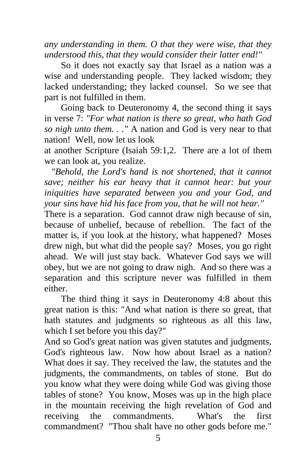*any understanding in them. O that they were wise, that they understood this, that they would consider their latter end!"*

So it does not exactly say that Israel as a nation was a wise and understanding people. They lacked wisdom; they lacked understanding; they lacked counsel. So we see that part is not fulfilled in them.

Going back to Deuteronomy 4, the second thing it says in verse 7: *"For what nation is there so great, who hath God so nigh unto them. . ."* A nation and God is very near to that nation! Well, now let us look

at another Scripture (Isaiah 59:1,2. There are a lot of them we can look at, you realize.

 *"Behold, the Lord's hand is not shortened, that it cannot save; neither his ear heavy that it cannot hear: but your iniquities have separated between you and your God, and your sins have hid his face from you, that he will not hear."*

There is a separation. God cannot draw nigh because of sin, because of unbelief, because of rebellion. The fact of the matter is, if you look at the history, what happened? Moses drew nigh, but what did the people say? Moses, you go right ahead. We will just stay back. Whatever God says we will obey, but we are not going to draw nigh. And so there was a separation and this scripture never was fulfilled in them either.

The third thing it says in Deuteronomy 4:8 about this great nation is this: "And what nation is there so great, that hath statutes and judgments so righteous as all this law, which I set before you this day?"

And so God's great nation was given statutes and judgments, God's righteous law. Now how about Israel as a nation? What does it say. They received the law, the statutes and the judgments, the commandments, on tables of stone. But do you know what they were doing while God was giving those tables of stone? You know, Moses was up in the high place in the mountain receiving the high revelation of God and receiving the commandments. What's the first commandment? "Thou shalt have no other gods before me."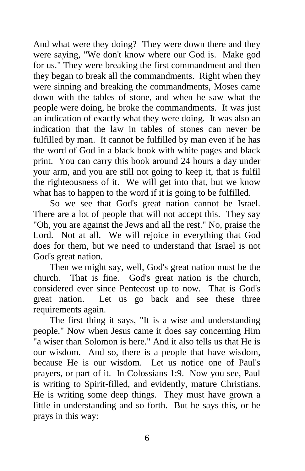And what were they doing? They were down there and they were saying, "We don't know where our God is. Make god for us." They were breaking the first commandment and then they began to break all the commandments. Right when they were sinning and breaking the commandments, Moses came down with the tables of stone, and when he saw what the people were doing, he broke the commandments. It was just an indication of exactly what they were doing. It was also an indication that the law in tables of stones can never be fulfilled by man. It cannot be fulfilled by man even if he has the word of God in a black book with white pages and black print. You can carry this book around 24 hours a day under your arm, and you are still not going to keep it, that is fulfil the righteousness of it. We will get into that, but we know what has to happen to the word if it is going to be fulfilled.

So we see that God's great nation cannot be Israel. There are a lot of people that will not accept this. They say "Oh, you are against the Jews and all the rest." No, praise the Lord. Not at all. We will rejoice in everything that God does for them, but we need to understand that Israel is not God's great nation.

Then we might say, well, God's great nation must be the church. That is fine. God's great nation is the church, considered ever since Pentecost up to now. That is God's great nation. Let us go back and see these three requirements again.

The first thing it says, "It is a wise and understanding people." Now when Jesus came it does say concerning Him "a wiser than Solomon is here." And it also tells us that He is our wisdom. And so, there is a people that have wisdom, because He is our wisdom. Let us notice one of Paul's prayers, or part of it. In Colossians 1:9. Now you see, Paul is writing to Spirit-filled, and evidently, mature Christians. He is writing some deep things. They must have grown a little in understanding and so forth. But he says this, or he prays in this way: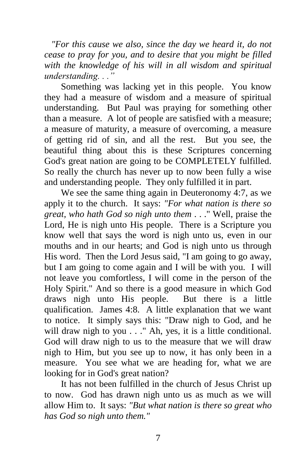*"For this cause we also, since the day we heard it, do not cease to pray for you, and to desire that you might be filled with the knowledge of his will in all wisdom and spiritual understanding. . ."*

Something was lacking yet in this people. You know they had a measure of wisdom and a measure of spiritual understanding. But Paul was praying for something other than a measure. A lot of people are satisfied with a measure; a measure of maturity, a measure of overcoming, a measure of getting rid of sin, and all the rest. But you see, the beautiful thing about this is these Scriptures concerning God's great nation are going to be COMPLETELY fulfilled. So really the church has never up to now been fully a wise and understanding people. They only fulfilled it in part.

We see the same thing again in Deuteronomy 4:7, as we apply it to the church. It says: *"For what nation is there so great, who hath God so nigh unto them* . . ." Well, praise the Lord, He is nigh unto His people. There is a Scripture you know well that says the word is nigh unto us, even in our mouths and in our hearts; and God is nigh unto us through His word. Then the Lord Jesus said, "I am going to go away, but I am going to come again and I will be with you. I will not leave you comfortless, I will come in the person of the Holy Spirit." And so there is a good measure in which God draws nigh unto His people. But there is a little qualification. James 4:8. A little explanation that we want to notice. It simply says this: "Draw nigh to God, and he will draw nigh to you . . ." Ah, yes, it is a little conditional. God will draw nigh to us to the measure that we will draw nigh to Him, but you see up to now, it has only been in a measure. You see what we are heading for, what we are looking for in God's great nation?

It has not been fulfilled in the church of Jesus Christ up to now. God has drawn nigh unto us as much as we will allow Him to. It says: *"But what nation is there so great who has God so nigh unto them."*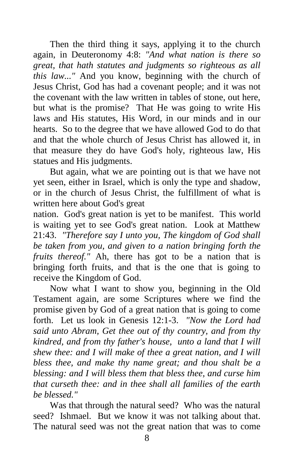Then the third thing it says, applying it to the church again, in Deuteronomy 4:8: *"And what nation is there so great, that hath statutes and judgments so righteous as all this law..."* And you know, beginning with the church of Jesus Christ, God has had a covenant people; and it was not the covenant with the law written in tables of stone, out here, but what is the promise? That He was going to write His laws and His statutes, His Word, in our minds and in our hearts. So to the degree that we have allowed God to do that and that the whole church of Jesus Christ has allowed it, in that measure they do have God's holy, righteous law, His statues and His judgments.

But again, what we are pointing out is that we have not yet seen, either in Israel, which is only the type and shadow, or in the church of Jesus Christ, the fulfillment of what is written here about God's great

nation. God's great nation is yet to be manifest. This world is waiting yet to see God's great nation. Look at Matthew 21:43. *"Therefore say I unto you, The kingdom of God shall be taken from you, and given to a nation bringing forth the fruits thereof."* Ah, there has got to be a nation that is bringing forth fruits, and that is the one that is going to receive the Kingdom of God.

Now what I want to show you, beginning in the Old Testament again, are some Scriptures where we find the promise given by God of a great nation that is going to come forth. Let us look in Genesis 12:1-3. *"Now the Lord had said unto Abram, Get thee out of thy country, and from thy kindred, and from thy father's house, unto a land that I will shew thee: and I will make of thee a great nation, and I will bless thee, and make thy name great; and thou shalt be a blessing: and I will bless them that bless thee, and curse him that curseth thee: and in thee shall all families of the earth be blessed."*

Was that through the natural seed? Who was the natural seed? Ishmael. But we know it was not talking about that. The natural seed was not the great nation that was to come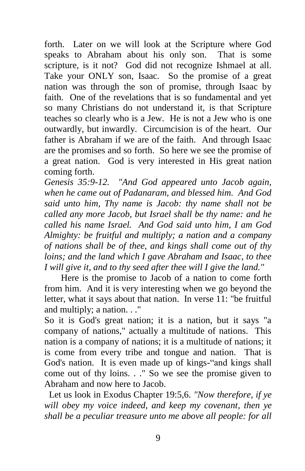forth. Later on we will look at the Scripture where God speaks to Abraham about his only son. That is some scripture, is it not? God did not recognize Ishmael at all. Take your ONLY son, Isaac. So the promise of a great nation was through the son of promise, through Isaac by faith. One of the revelations that is so fundamental and yet so many Christians do not understand it, is that Scripture teaches so clearly who is a Jew. He is not a Jew who is one outwardly, but inwardly. Circumcision is of the heart. Our father is Abraham if we are of the faith. And through Isaac are the promises and so forth. So here we see the promise of a great nation. God is very interested in His great nation coming forth.

*Genesis 35:9-12. "And God appeared unto Jacob again, when he came out of Padanaram, and blessed him. And God said unto him, Thy name is Jacob: thy name shall not be called any more Jacob, but Israel shall be thy name: and he called his name Israel. And God said unto him, I am God Almighty: be fruitful and multiply; a nation and a company of nations shall be of thee, and kings shall come out of thy loins; and the land which I gave Abraham and Isaac, to thee I will give it, and to thy seed after thee will I give the land."*

Here is the promise to Jacob of a nation to come forth from him. And it is very interesting when we go beyond the letter, what it says about that nation. In verse 11: "be fruitful and multiply; a nation. . ."

So it is God's great nation; it is a nation, but it says "a company of nations," actually a multitude of nations. This nation is a company of nations; it is a multitude of nations; it is come from every tribe and tongue and nation. That is God's nation. It is even made up of kings-"and kings shall come out of thy loins. . ." So we see the promise given to Abraham and now here to Jacob.

 Let us look in Exodus Chapter 19:5,6. *"Now therefore, if ye will obey my voice indeed, and keep my covenant, then ye shall be a peculiar treasure unto me above all people: for all*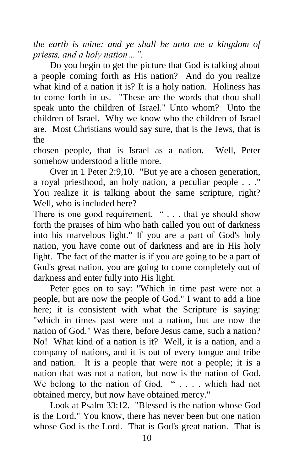*the earth is mine: and ye shall be unto me a kingdom of priests, and a holy nation…".*

Do you begin to get the picture that God is talking about a people coming forth as His nation? And do you realize what kind of a nation it is? It is a holy nation. Holiness has to come forth in us. "These are the words that thou shall speak unto the children of Israel." Unto whom? Unto the children of Israel. Why we know who the children of Israel are. Most Christians would say sure, that is the Jews, that is the

chosen people, that is Israel as a nation. Well, Peter somehow understood a little more.

Over in 1 Peter 2:9,10. "But ye are a chosen generation, a royal priesthood, an holy nation, a peculiar people . . ." You realize it is talking about the same scripture, right? Well, who is included here?

There is one good requirement. " . . . that ye should show forth the praises of him who hath called you out of darkness into his marvelous light." If you are a part of God's holy nation, you have come out of darkness and are in His holy light. The fact of the matter is if you are going to be a part of God's great nation, you are going to come completely out of darkness and enter fully into His light.

Peter goes on to say: "Which in time past were not a people, but are now the people of God." I want to add a line here; it is consistent with what the Scripture is saying: "which in times past were not a nation, but are now the nation of God." Was there, before Jesus came, such a nation? No! What kind of a nation is it? Well, it is a nation, and a company of nations, and it is out of every tongue and tribe and nation. It is a people that were not a people; it is a nation that was not a nation, but now is the nation of God. We belong to the nation of God. " . . . . which had not obtained mercy, but now have obtained mercy."

Look at Psalm 33:12. "Blessed is the nation whose God is the Lord." You know, there has never been but one nation whose God is the Lord. That is God's great nation. That is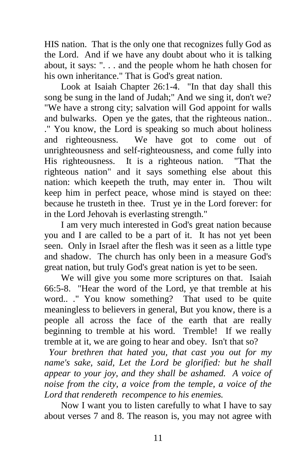HIS nation. That is the only one that recognizes fully God as the Lord. And if we have any doubt about who it is talking about, it says: ". . . and the people whom he hath chosen for his own inheritance." That is God's great nation.

Look at Isaiah Chapter 26:1-4. "In that day shall this song be sung in the land of Judah;" And we sing it, don't we? "We have a strong city; salvation will God appoint for walls and bulwarks. Open ye the gates, that the righteous nation.. ." You know, the Lord is speaking so much about holiness and righteousness. We have got to come out of unrighteousness and self-righteousness, and come fully into His righteousness. It is a righteous nation. "That the righteous nation" and it says something else about this nation: which keepeth the truth, may enter in. Thou wilt keep him in perfect peace, whose mind is stayed on thee: because he trusteth in thee. Trust ye in the Lord forever: for in the Lord Jehovah is everlasting strength."

I am very much interested in God's great nation because you and I are called to be a part of it. It has not yet been seen. Only in Israel after the flesh was it seen as a little type and shadow. The church has only been in a measure God's great nation, but truly God's great nation is yet to be seen.

We will give you some more scriptures on that. Isaiah 66:5-8. "Hear the word of the Lord, ye that tremble at his word.. ." You know something? That used to be quite meaningless to believers in general, But you know, there is a people all across the face of the earth that are really beginning to tremble at his word. Tremble! If we really tremble at it, we are going to hear and obey. Isn't that so?

 *Your brethren that hated you, that cast you out for my name's sake, said, Let the Lord be glorified: but he shall appear to your joy, and they shall be ashamed. A voice of noise from the city, a voice from the temple, a voice of the Lord that rendereth recompence to his enemies.*

Now I want you to listen carefully to what I have to say about verses 7 and 8. The reason is, you may not agree with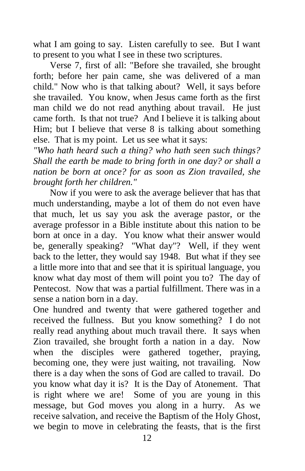what I am going to say. Listen carefully to see. But I want to present to you what I see in these two scriptures.

Verse 7, first of all: "Before she travailed, she brought forth; before her pain came, she was delivered of a man child." Now who is that talking about? Well, it says before she travailed. You know, when Jesus came forth as the first man child we do not read anything about travail. He just came forth. Is that not true? And I believe it is talking about Him; but I believe that verse 8 is talking about something else. That is my point. Let us see what it says:

*"Who hath heard such a thing? who hath seen such things? Shall the earth be made to bring forth in one day? or shall a nation be born at once? for as soon as Zion travailed, she brought forth her children."*

Now if you were to ask the average believer that has that much understanding, maybe a lot of them do not even have that much, let us say you ask the average pastor, or the average professor in a Bible institute about this nation to be born at once in a day. You know what their answer would be, generally speaking? "What day"? Well, if they went back to the letter, they would say 1948. But what if they see a little more into that and see that it is spiritual language, you know what day most of them will point you to? The day of Pentecost. Now that was a partial fulfillment. There was in a sense a nation born in a day.

One hundred and twenty that were gathered together and received the fullness. But you know something? I do not really read anything about much travail there. It says when Zion travailed, she brought forth a nation in a day. Now when the disciples were gathered together, praying, becoming one, they were just waiting, not travailing. Now there is a day when the sons of God are called to travail. Do you know what day it is? It is the Day of Atonement. That is right where we are! Some of you are young in this message, but God moves you along in a hurry. As we receive salvation, and receive the Baptism of the Holy Ghost, we begin to move in celebrating the feasts, that is the first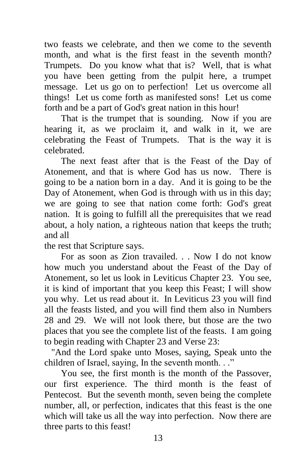two feasts we celebrate, and then we come to the seventh month, and what is the first feast in the seventh month? Trumpets. Do you know what that is? Well, that is what you have been getting from the pulpit here, a trumpet message. Let us go on to perfection! Let us overcome all things! Let us come forth as manifested sons! Let us come forth and be a part of God's great nation in this hour!

That is the trumpet that is sounding. Now if you are hearing it, as we proclaim it, and walk in it, we are celebrating the Feast of Trumpets. That is the way it is celebrated.

The next feast after that is the Feast of the Day of Atonement, and that is where God has us now. There is going to be a nation born in a day. And it is going to be the Day of Atonement, when God is through with us in this day; we are going to see that nation come forth: God's great nation. It is going to fulfill all the prerequisites that we read about, a holy nation, a righteous nation that keeps the truth; and all

the rest that Scripture says.

For as soon as Zion travailed. . . Now I do not know how much you understand about the Feast of the Day of Atonement, so let us look in Leviticus Chapter 23. You see, it is kind of important that you keep this Feast; I will show you why. Let us read about it. In Leviticus 23 you will find all the feasts listed, and you will find them also in Numbers 28 and 29. We will not look there, but those are the two places that you see the complete list of the feasts. I am going to begin reading with Chapter 23 and Verse 23:

 "And the Lord spake unto Moses, saying, Speak unto the children of Israel, saying, In the seventh month. . ."

You see, the first month is the month of the Passover, our first experience. The third month is the feast of Pentecost. But the seventh month, seven being the complete number, all, or perfection, indicates that this feast is the one which will take us all the way into perfection. Now there are three parts to this feast!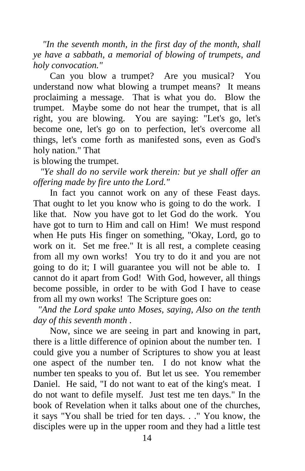*"In the seventh month, in the first day of the month, shall ye have a sabbath, a memorial of blowing of trumpets, and holy convocation."*

Can you blow a trumpet? Are you musical? You understand now what blowing a trumpet means? It means proclaiming a message. That is what you do. Blow the trumpet. Maybe some do not hear the trumpet, that is all right, you are blowing. You are saying: "Let's go, let's become one, let's go on to perfection, let's overcome all things, let's come forth as manifested sons, even as God's holy nation." That

is blowing the trumpet.

 *"Ye shall do no servile work therein: but ye shall offer an offering made by fire unto the Lord."*

In fact you cannot work on any of these Feast days. That ought to let you know who is going to do the work. I like that. Now you have got to let God do the work. You have got to turn to Him and call on Him! We must respond when He puts His finger on something, "Okay, Lord, go to work on it. Set me free." It is all rest, a complete ceasing from all my own works! You try to do it and you are not going to do it; I will guarantee you will not be able to. I cannot do it apart from God! With God, however, all things become possible, in order to be with God I have to cease from all my own works! The Scripture goes on:

 *"And the Lord spake unto Moses, saying, Also on the tenth day of this seventh month .*

Now, since we are seeing in part and knowing in part, there is a little difference of opinion about the number ten. I could give you a number of Scriptures to show you at least one aspect of the number ten. I do not know what the number ten speaks to you of. But let us see. You remember Daniel. He said, "I do not want to eat of the king's meat. I do not want to defile myself. Just test me ten days." In the book of Revelation when it talks about one of the churches, it says "You shall be tried for ten days. . ." You know, the disciples were up in the upper room and they had a little test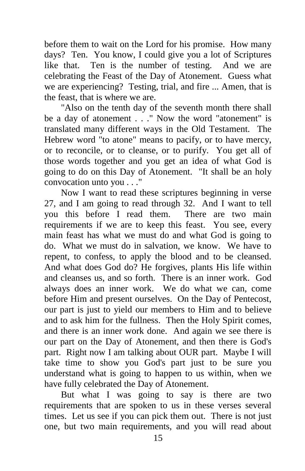before them to wait on the Lord for his promise. How many days? Ten. You know, I could give you a lot of Scriptures like that. Ten is the number of testing. And we are like that. Ten is the number of testing. celebrating the Feast of the Day of Atonement. Guess what we are experiencing? Testing, trial, and fire ... Amen, that is the feast, that is where we are.

"Also on the tenth day of the seventh month there shall be a day of atonement . . ." Now the word "atonement" is translated many different ways in the Old Testament. The Hebrew word "to atone" means to pacify, or to have mercy, or to reconcile, or to cleanse, or to purify. You get all of those words together and you get an idea of what God is going to do on this Day of Atonement. "It shall be an holy convocation unto you . . ."

Now I want to read these scriptures beginning in verse 27, and I am going to read through 32. And I want to tell you this before I read them. There are two main requirements if we are to keep this feast. You see, every main feast has what we must do and what God is going to do. What we must do in salvation, we know. We have to repent, to confess, to apply the blood and to be cleansed. And what does God do? He forgives, plants His life within and cleanses us, and so forth. There is an inner work. God always does an inner work. We do what we can, come before Him and present ourselves. On the Day of Pentecost, our part is just to yield our members to Him and to believe and to ask him for the fullness. Then the Holy Spirit comes, and there is an inner work done. And again we see there is our part on the Day of Atonement, and then there is God's part. Right now I am talking about OUR part. Maybe I will take time to show you God's part just to be sure you understand what is going to happen to us within, when we have fully celebrated the Day of Atonement.

But what I was going to say is there are two requirements that are spoken to us in these verses several times. Let us see if you can pick them out. There is not just one, but two main requirements, and you will read about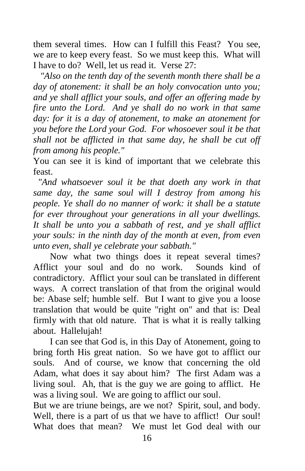them several times. How can I fulfill this Feast? You see, we are to keep every feast. So we must keep this. What will I have to do? Well, let us read it. Verse 27:

 *"Also on the tenth day of the seventh month there shall be a day of atonement: it shall be an holy convocation unto you; and ye shall afflict your souls, and offer an offering made by fire unto the Lord. And ye shall do no work in that same day: for it is a day of atonement, to make an atonement for you before the Lord your God. For whosoever soul it be that shall not be afflicted in that same day, he shall be cut off from among his people."*

You can see it is kind of important that we celebrate this feast.

 *"And whatsoever soul it be that doeth any work in that same day, the same soul will I destroy from among his people. Ye shall do no manner of work: it shall be a statute for ever throughout your generations in all your dwellings. It shall be unto you a sabbath of rest, and ye shall afflict your souls: in the ninth day of the month at even, from even unto even, shall ye celebrate your sabbath."*

Now what two things does it repeat several times? Afflict your soul and do no work. Sounds kind of contradictory. Afflict your soul can be translated in different ways. A correct translation of that from the original would be: Abase self; humble self. But I want to give you a loose translation that would be quite "right on" and that is: Deal firmly with that old nature. That is what it is really talking about. Hallelujah!

I can see that God is, in this Day of Atonement, going to bring forth His great nation. So we have got to afflict our souls. And of course, we know that concerning the old Adam, what does it say about him? The first Adam was a living soul. Ah, that is the guy we are going to afflict. He was a living soul. We are going to afflict our soul.

But we are triune beings, are we not? Spirit, soul, and body. Well, there is a part of us that we have to afflict! Our soul! What does that mean? We must let God deal with our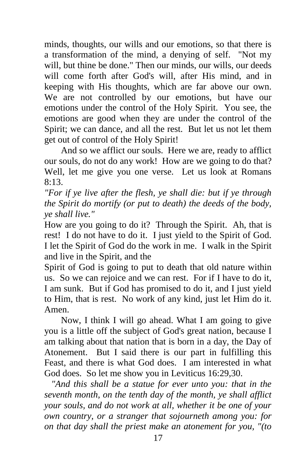minds, thoughts, our wills and our emotions, so that there is a transformation of the mind, a denying of self. "Not my will, but thine be done." Then our minds, our wills, our deeds will come forth after God's will, after His mind, and in keeping with His thoughts, which are far above our own. We are not controlled by our emotions, but have our emotions under the control of the Holy Spirit. You see, the emotions are good when they are under the control of the Spirit; we can dance, and all the rest. But let us not let them get out of control of the Holy Spirit!

And so we afflict our souls. Here we are, ready to afflict our souls, do not do any work! How are we going to do that? Well, let me give you one verse. Let us look at Romans 8:13.

*"For if ye live after the flesh, ye shall die: but if ye through the Spirit do mortify (or put to death) the deeds of the body, ye shall live."*

How are you going to do it? Through the Spirit. Ah, that is rest! I do not have to do it. I just yield to the Spirit of God. I let the Spirit of God do the work in me. I walk in the Spirit and live in the Spirit, and the

Spirit of God is going to put to death that old nature within us. So we can rejoice and we can rest. For if I have to do it, I am sunk. But if God has promised to do it, and I just yield to Him, that is rest. No work of any kind, just let Him do it. Amen.

Now, I think I will go ahead. What I am going to give you is a little off the subject of God's great nation, because I am talking about that nation that is born in a day, the Day of Atonement. But I said there is our part in fulfilling this Feast, and there is what God does. I am interested in what God does. So let me show you in Leviticus 16:29,30.

 *"And this shall be a statue for ever unto you: that in the seventh month, on the tenth day of the month, ye shall afflict your souls, and do not work at all, whether it be one of your own country, or a stranger that sojourneth among you: for on that day shall the priest make an atonement for you, "(to*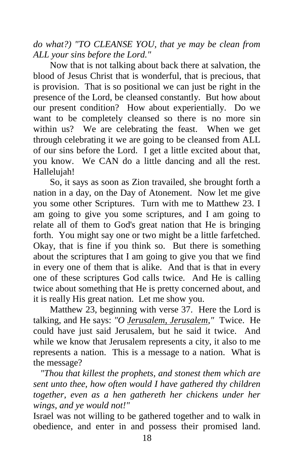*do what?) "TO CLEANSE YOU, that ye may be clean from ALL your sins before the Lord."*

Now that is not talking about back there at salvation, the blood of Jesus Christ that is wonderful, that is precious, that is provision. That is so positional we can just be right in the presence of the Lord, be cleansed constantly. But how about our present condition? How about experientially. Do we want to be completely cleansed so there is no more sin within us? We are celebrating the feast. When we get through celebrating it we are going to be cleansed from ALL of our sins before the Lord. I get a little excited about that, you know. We CAN do a little dancing and all the rest. Hallelujah!

So, it says as soon as Zion travailed, she brought forth a nation in a day, on the Day of Atonement. Now let me give you some other Scriptures. Turn with me to Matthew 23. I am going to give you some scriptures, and I am going to relate all of them to God's great nation that He is bringing forth. You might say one or two might be a little farfetched. Okay, that is fine if you think so. But there is something about the scriptures that I am going to give you that we find in every one of them that is alike. And that is that in every one of these scriptures God calls twice. And He is calling twice about something that He is pretty concerned about, and it is really His great nation. Let me show you.

Matthew 23, beginning with verse 37. Here the Lord is talking, and He says: *"O Jerusalem, Jerusalem,"* Twice. He could have just said Jerusalem, but he said it twice. And while we know that Jerusalem represents a city, it also to me represents a nation. This is a message to a nation. What is the message?

 *"Thou that killest the prophets, and stonest them which are sent unto thee, how often would I have gathered thy children together, even as a hen gathereth her chickens under her wings, and ye would not!"*

Israel was not willing to be gathered together and to walk in obedience, and enter in and possess their promised land.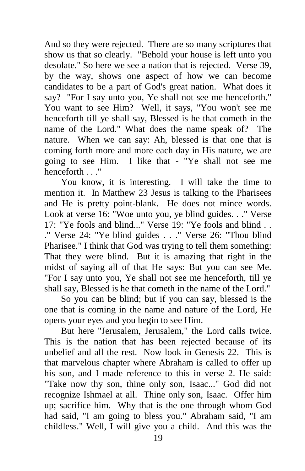And so they were rejected. There are so many scriptures that show us that so clearly. "Behold your house is left unto you desolate." So here we see a nation that is rejected. Verse 39, by the way, shows one aspect of how we can become candidates to be a part of God's great nation. What does it say? "For I say unto you, Ye shall not see me henceforth." You want to see Him? Well, it says, "You won't see me henceforth till ye shall say, Blessed is he that cometh in the name of the Lord." What does the name speak of? The nature. When we can say: Ah, blessed is that one that is coming forth more and more each day in His nature, we are going to see Him. I like that - "Ye shall not see me henceforth ...."

You know, it is interesting. I will take the time to mention it. In Matthew 23 Jesus is talking to the Pharisees and He is pretty point-blank. He does not mince words. Look at verse 16: "Woe unto you, ye blind guides. . ." Verse  $17:$  "Ye fools and blind..." Verse  $19:$  "Ye fools and blind ." Verse 24: "Ye blind guides . . ." Verse 26: "Thou blind Pharisee." I think that God was trying to tell them something: That they were blind. But it is amazing that right in the midst of saying all of that He says: But you can see Me. "For I say unto you, Ye shall not see me henceforth, till ye shall say, Blessed is he that cometh in the name of the Lord."

So you can be blind; but if you can say, blessed is the one that is coming in the name and nature of the Lord, He opens your eyes and you begin to see Him.

But here "Jerusalem, Jerusalem," the Lord calls twice. This is the nation that has been rejected because of its unbelief and all the rest. Now look in Genesis 22. This is that marvelous chapter where Abraham is called to offer up his son, and I made reference to this in verse 2. He said: "Take now thy son, thine only son, Isaac..." God did not recognize Ishmael at all. Thine only son, Isaac. Offer him up; sacrifice him. Why that is the one through whom God had said, "I am going to bless you." Abraham said, "I am childless." Well, I will give you a child. And this was the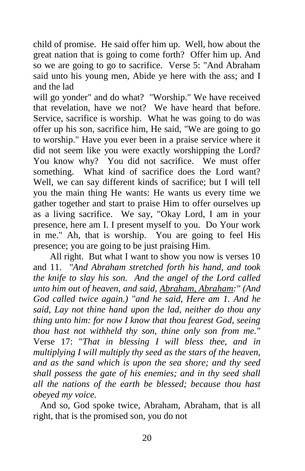child of promise. He said offer him up. Well, how about the great nation that is going to come forth? Offer him up. And so we are going to go to sacrifice. Verse 5: "And Abraham said unto his young men, Abide ye here with the ass; and I and the lad

will go yonder" and do what? "Worship." We have received that revelation, have we not? We have heard that before. Service, sacrifice is worship. What he was going to do was offer up his son, sacrifice him, He said, "We are going to go to worship." Have you ever been in a praise service where it did not seem like you were exactly worshipping the Lord? You know why? You did not sacrifice. We must offer something. What kind of sacrifice does the Lord want? Well, we can say different kinds of sacrifice; but I will tell you the main thing He wants: He wants us every time we gather together and start to praise Him to offer ourselves up as a living sacrifice. We say, "Okay Lord, I am in your presence, here am I. I present myself to you. Do Your work in me." Ah, that is worship. You are going to feel His presence; you are going to be just praising Him.

All right. But what I want to show you now is verses 10 and 11. *"And Abraham stretched forth his hand, and took the knife to slay his son. And the angel of the Lord called unto him out of heaven, and said, Abraham, Abraham:" (And God called twice again.) "and he said, Here am 1. And he said, Lay not thine hand upon the lad, neither do thou any thing unto him: for now I know that thou fearest God, seeing thou hast not withheld thy son, thine only son from me."* Verse 17: "*That in blessing I will bless thee, and in multiplying I will multiply thy seed as the stars of the heaven, and as the sand which is upon the sea shore; and thy seed shall possess the gate of his enemies; and in thy seed shall all the nations of the earth be blessed; because thou hast obeyed my voice.*

 And so, God spoke twice, Abraham, Abraham, that is all right, that is the promised son, you do not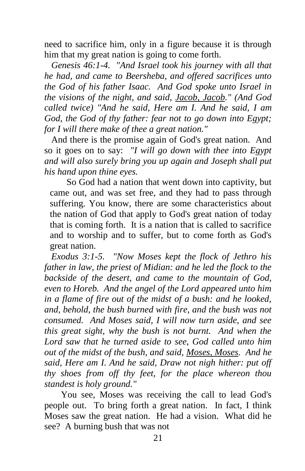need to sacrifice him, only in a figure because it is through him that my great nation is going to come forth.

 *Genesis 46:1-4. "And Israel took his journey with all that he had, and came to Beersheba, and offered sacrifices unto the God of his father Isaac. And God spoke unto Israel in the visions of the night, and said, Jacob, Jacob." (And God called twice) "And he said, Here am I. And he said, I am God, the God of thy father: fear not to go down into Egypt; for I will there make of thee a great nation."*

 And there is the promise again of God's great nation. And so it goes on to say: *"I will go down with thee into Egypt and will also surely bring you up again and Joseph shall put his hand upon thine eyes.*

So God had a nation that went down into captivity, but came out, and was set free, and they had to pass through suffering. You know, there are some characteristics about the nation of God that apply to God's great nation of today that is coming forth. It is a nation that is called to sacrifice and to worship and to suffer, but to come forth as God's great nation.

 *Exodus 3:1-5. "Now Moses kept the flock of Jethro his father in law, the priest of Midian: and he led the flock to the backside of the desert, and came to the mountain of God, even to Horeb. And the angel of the Lord appeared unto him in a flame of fire out of the midst of a bush: and he looked, and, behold, the bush burned with fire, and the bush was not consumed. And Moses said, I will now turn aside, and see this great sight, why the bush is not burnt. And when the Lord saw that he turned aside to see, God called unto him out of the midst of the bush, and said, Moses, Moses. And he said, Here am I. And he said, Draw not nigh hither: put off thy shoes from off thy feet, for the place whereon thou standest is holy ground."*

You see, Moses was receiving the call to lead God's people out. To bring forth a great nation. In fact, I think Moses saw the great nation. He had a vision. What did he see? A burning bush that was not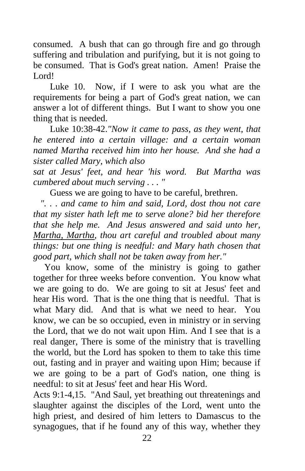consumed. A bush that can go through fire and go through suffering and tribulation and purifying, but it is not going to be consumed. That is God's great nation. Amen! Praise the Lord!

Luke 10. Now, if I were to ask you what are the requirements for being a part of God's great nation, we can answer a lot of different things. But I want to show you one thing that is needed.

Luke 10:38-42.*"Now it came to pass, as they went, that he entered into a certain village: and a certain woman named Martha received him into her house. And she had a sister called Mary, which also* 

*sat at Jesus' feet, and hear 'his word. But Martha was cumbered about much serving . . . "*

Guess we are going to have to be careful, brethren.

 *". . . and came to him and said, Lord, dost thou not care that my sister hath left me to serve alone? bid her therefore that she help me. And Jesus answered and said unto her, Martha, Martha, thou art careful and troubled about many things: but one thing is needful: and Mary hath chosen that good part, which shall not be taken away from her."*

You know, some of the ministry is going to gather together for three weeks before convention. You know what we are going to do. We are going to sit at Jesus' feet and hear His word. That is the one thing that is needful. That is what Mary did. And that is what we need to hear. You know, we can be so occupied, even in ministry or in serving the Lord, that we do not wait upon Him. And I see that is a real danger, There is some of the ministry that is travelling the world, but the Lord has spoken to them to take this time out, fasting and in prayer and waiting upon Him; because if we are going to be a part of God's nation, one thing is needful: to sit at Jesus' feet and hear His Word.

Acts 9:1-4,15. "And Saul, yet breathing out threatenings and slaughter against the disciples of the Lord, went unto the high priest, and desired of him letters to Damascus to the synagogues, that if he found any of this way, whether they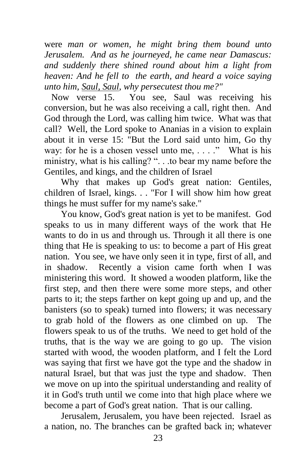were *man or women, he might bring them bound unto Jerusalem. And as he journeyed, he came near Damascus: and suddenly there shined round about him a light from heaven: And he fell to the earth, and heard a voice saying unto him, Saul, Saul, why persecutest thou me?"*

Now verse 15. You see, Saul was receiving his conversion, but he was also receiving a call, right then. And God through the Lord, was calling him twice. What was that call? Well, the Lord spoke to Ananias in a vision to explain about it in verse 15: "But the Lord said unto him, Go thy way: for he is a chosen vessel unto me, . . . ." What is his ministry, what is his calling? "... to bear my name before the Gentiles, and kings, and the children of Israel

Why that makes up God's great nation: Gentiles, children of Israel, kings. . . "For I will show him how great things he must suffer for my name's sake."

You know, God's great nation is yet to be manifest. God speaks to us in many different ways of the work that He wants to do in us and through us. Through it all there is one thing that He is speaking to us: to become a part of His great nation. You see, we have only seen it in type, first of all, and in shadow. Recently a vision came forth when I was ministering this word. It showed a wooden platform, like the first step, and then there were some more steps, and other parts to it; the steps farther on kept going up and up, and the banisters (so to speak) turned into flowers; it was necessary to grab hold of the flowers as one climbed on up. The flowers speak to us of the truths. We need to get hold of the truths, that is the way we are going to go up. The vision started with wood, the wooden platform, and I felt the Lord was saying that first we have got the type and the shadow in natural Israel, but that was just the type and shadow. Then we move on up into the spiritual understanding and reality of it in God's truth until we come into that high place where we become a part of God's great nation. That is our calling.

Jerusalem, Jerusalem, you have been rejected. Israel as a nation, no. The branches can be grafted back in; whatever